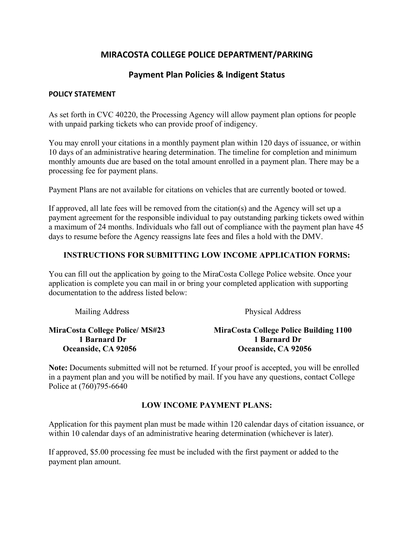# **MIRACOSTA COLLEGE POLICE DEPARTMENT/PARKING**

## **Payment Plan Policies & Indigent Status**

#### **POLICY STATEMENT**

As set forth in CVC 40220, the Processing Agency will allow payment plan options for people with unpaid parking tickets who can provide proof of indigency.

You may enroll your citations in a monthly payment plan within 120 days of issuance, or within 10 days of an administrative hearing determination. The timeline for completion and minimum monthly amounts due are based on the total amount enrolled in a payment plan. There may be a processing fee for payment plans.

Payment Plans are not available for citations on vehicles that are currently booted or towed.

If approved, all late fees will be removed from the citation(s) and the Agency will set up a payment agreement for the responsible individual to pay outstanding parking tickets owed within a maximum of 24 months. Individuals who fall out of compliance with the payment plan have 45 days to resume before the Agency reassigns late fees and files a hold with the DMV.

### **INSTRUCTIONS FOR SUBMITTING LOW INCOME APPLICATION FORMS:**

You can fill out the application by going to the MiraCosta College Police website. Once your application is complete you can mail in or bring your completed application with supporting documentation to the address listed below:

| Mailing Address                        | Physical Address                              |  |
|----------------------------------------|-----------------------------------------------|--|
| <b>MiraCosta College Police/ MS#23</b> | <b>MiraCosta College Police Building 1100</b> |  |
| 1 Barnard Dr                           | 1 Barnard Dr                                  |  |
| Oceanside, CA 92056                    | Oceanside, CA 92056                           |  |

**Note:** Documents submitted will not be returned. If your proof is accepted, you will be enrolled in a payment plan and you will be notified by mail. If you have any questions, contact College Police at (760)795-6640

#### **LOW INCOME PAYMENT PLANS:**

Application for this payment plan must be made within 120 calendar days of citation issuance, or within 10 calendar days of an administrative hearing determination (whichever is later).

If approved, \$5.00 processing fee must be included with the first payment or added to the payment plan amount.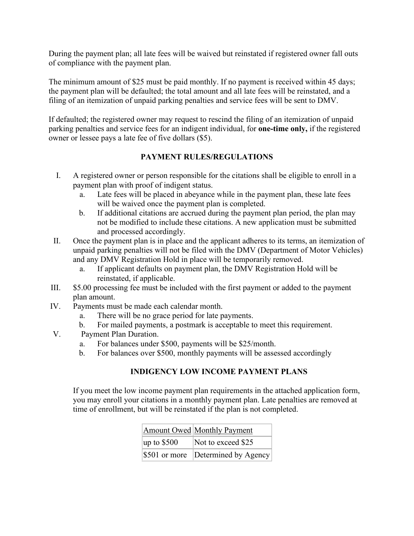During the payment plan; all late fees will be waived but reinstated if registered owner fall outs of compliance with the payment plan.

The minimum amount of \$25 must be paid monthly. If no payment is received within 45 days; the payment plan will be defaulted; the total amount and all late fees will be reinstated, and a filing of an itemization of unpaid parking penalties and service fees will be sent to DMV.

If defaulted; the registered owner may request to rescind the filing of an itemization of unpaid parking penalties and service fees for an indigent individual, for **one-time only,** if the registered owner or lessee pays a late fee of five dollars (\$5).

### **PAYMENT RULES/REGULATIONS**

- I. A registered owner or person responsible for the citations shall be eligible to enroll in a payment plan with proof of indigent status.
	- a. Late fees will be placed in abeyance while in the payment plan, these late fees will be waived once the payment plan is completed.
	- b. If additional citations are accrued during the payment plan period, the plan may not be modified to include these citations. A new application must be submitted and processed accordingly.
- II. Once the payment plan is in place and the applicant adheres to its terms, an itemization of unpaid parking penalties will not be filed with the DMV (Department of Motor Vehicles) and any DMV Registration Hold in place will be temporarily removed.
	- a. If applicant defaults on payment plan, the DMV Registration Hold will be reinstated, if applicable.
- III. \$5.00 processing fee must be included with the first payment or added to the payment plan amount.
- IV. Payments must be made each calendar month.
	- a. There will be no grace period for late payments.
	- b. For mailed payments, a postmark is acceptable to meet this requirement.
- V. Payment Plan Duration.
	- a. For balances under \$500, payments will be \$25/month.
	- b. For balances over \$500, monthly payments will be assessed accordingly

## **INDIGENCY LOW INCOME PAYMENT PLANS**

If you meet the low income payment plan requirements in the attached application form, you may enroll your citations in a monthly payment plan. Late penalties are removed at time of enrollment, but will be reinstated if the plan is not completed.

|                  | Amount Owed Monthly Payment        |
|------------------|------------------------------------|
| $\mu$ p to \$500 | Not to exceed \$25                 |
|                  | \$501 or more Determined by Agency |